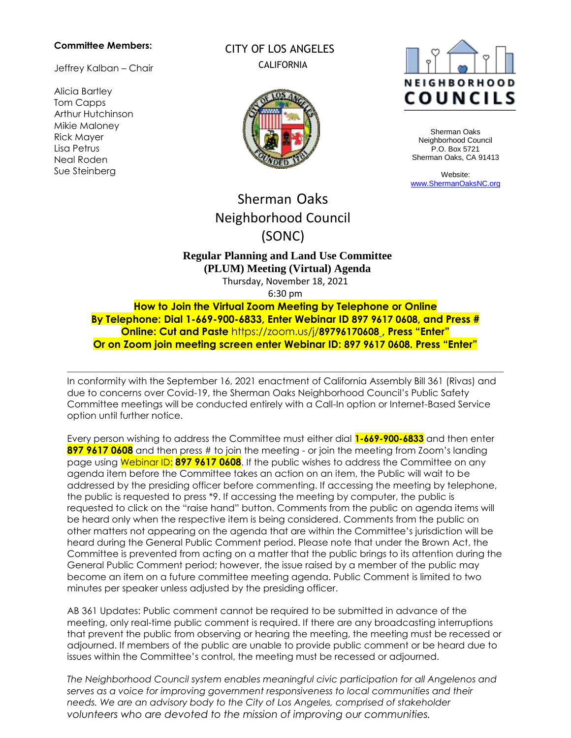#### **Committee Members:**

Jeffrey Kalban – Chair

Alicia Bartley Tom Capps Arthur Hutchinson Mikie Maloney Rick Mayer Lisa Petrus Neal Roden Sue Steinberg

CITY OF LOS ANGELES **CALIFORNIA** 





Sherman Oaks Neighborhood Council P.O. Box 5721 Sherman Oaks, CA 91413

Website: [www.ShermanOaksNC.org](http://www.shermanoaksnc.org/)

# Sherman Oaks Neighborhood Council (SONC)

## **Regular Planning and Land Use Committee (PLUM) Meeting (Virtual) Agenda**

Thursday, November 18, 2021

6:30 pm

**How to Join the Virtual Zoom Meeting by Telephone or Online By Telephone: Dial 1-669-900-6833, Enter Webinar ID 897 9617 0608, and Press # Online: Cut and Paste** https://zoom.us/j/**8979617060[8](https://zoom.us/j/949%2009036906) , Press "Enter" Or on Zoom join meeting screen enter Webinar ID: 897 9617 0608. Press "Enter"**

In conformity with the September 16, 2021 enactment of California Assembly Bill 361 (Rivas) and due to concerns over Covid-19, the Sherman Oaks Neighborhood Council's Public Safety Committee meetings will be conducted entirely with a Call-In option or Internet-Based Service option until further notice.

Every person wishing to address the Committee must either dial **1-669-900-6833** and then enter **897 9617 0608** and then press # to join the meeting - or join the meeting from Zoom's landing page using Webinar ID: **897 9617 0608**. If the public wishes to address the Committee on any agenda item before the Committee takes an action on an item, the Public will wait to be addressed by the presiding officer before commenting. If accessing the meeting by telephone, the public is requested to press \*9. If accessing the meeting by computer, the public is requested to click on the "raise hand" button. Comments from the public on agenda items will be heard only when the respective item is being considered. Comments from the public on other matters not appearing on the agenda that are within the Committee's jurisdiction will be heard during the General Public Comment period. Please note that under the Brown Act, the Committee is prevented from acting on a matter that the public brings to its attention during the General Public Comment period; however, the issue raised by a member of the public may become an item on a future committee meeting agenda. Public Comment is limited to two minutes per speaker unless adjusted by the presiding officer.

AB 361 Updates: Public comment cannot be required to be submitted in advance of the meeting, only real-time public comment is required. If there are any broadcasting interruptions that prevent the public from observing or hearing the meeting, the meeting must be recessed or adjourned. If members of the public are unable to provide public comment or be heard due to issues within the Committee's control, the meeting must be recessed or adjourned.

*The Neighborhood Council system enables meaningful civic participation for all Angelenos and serves as a voice for improving government responsiveness to local communities and their needs. We are an advisory body to the City of Los Angeles, comprised of stakeholder volunteers who are devoted to the mission of improving our communities.*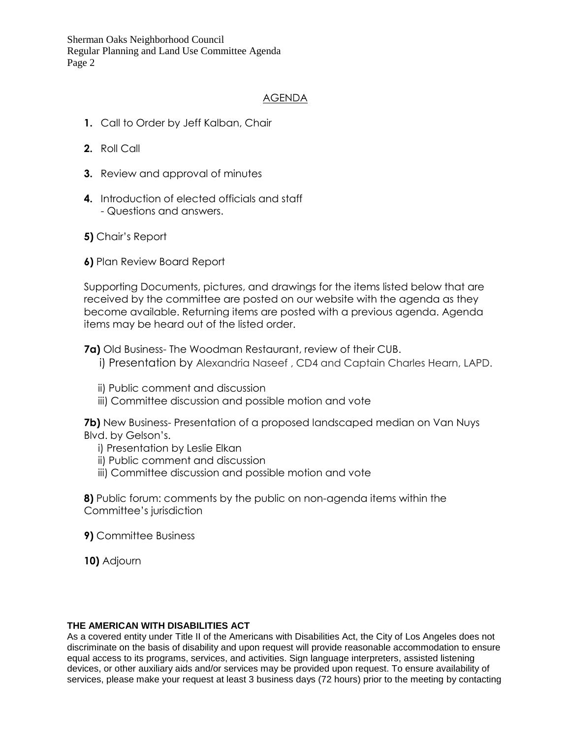Sherman Oaks Neighborhood Council Regular Planning and Land Use Committee Agenda Page 2

## AGENDA

- **1.** Call to Order by Jeff Kalban, Chair
- **2.** Roll Call
- **3.** Review and approval of minutes
- **4.** Introduction of elected officials and staff - Questions and answers.
- **5)** Chair's Report
- **6)** Plan Review Board Report

Supporting Documents, pictures, and drawings for the items listed below that are received by the committee are posted on our website with the agenda as they become available. Returning items are posted with a previous agenda. Agenda items may be heard out of the listed order.

**7a)** Old Business- The Woodman Restaurant, review of their CUB.

- i) Presentation by Alexandria Naseef , CD4 and Captain Charles Hearn, LAPD.
- ii) Public comment and discussion
- iii) Committee discussion and possible motion and vote

**7b)** New Business- Presentation of a proposed landscaped median on Van Nuys Blvd. by Gelson's.

- i) Presentation by Leslie Elkan
- ii) Public comment and discussion
- iii) Committee discussion and possible motion and vote

**8)** Public forum: comments by the public on non-agenda items within the Committee's jurisdiction

- **9)** Committee Business
- **10)** Adjourn

### **THE AMERICAN WITH DISABILITIES ACT**

As a covered entity under Title II of the Americans with Disabilities Act, the City of Los Angeles does not discriminate on the basis of disability and upon request will provide reasonable accommodation to ensure equal access to its programs, services, and activities. Sign language interpreters, assisted listening devices, or other auxiliary aids and/or services may be provided upon request. To ensure availability of services, please make your request at least 3 business days (72 hours) prior to the meeting by contacting